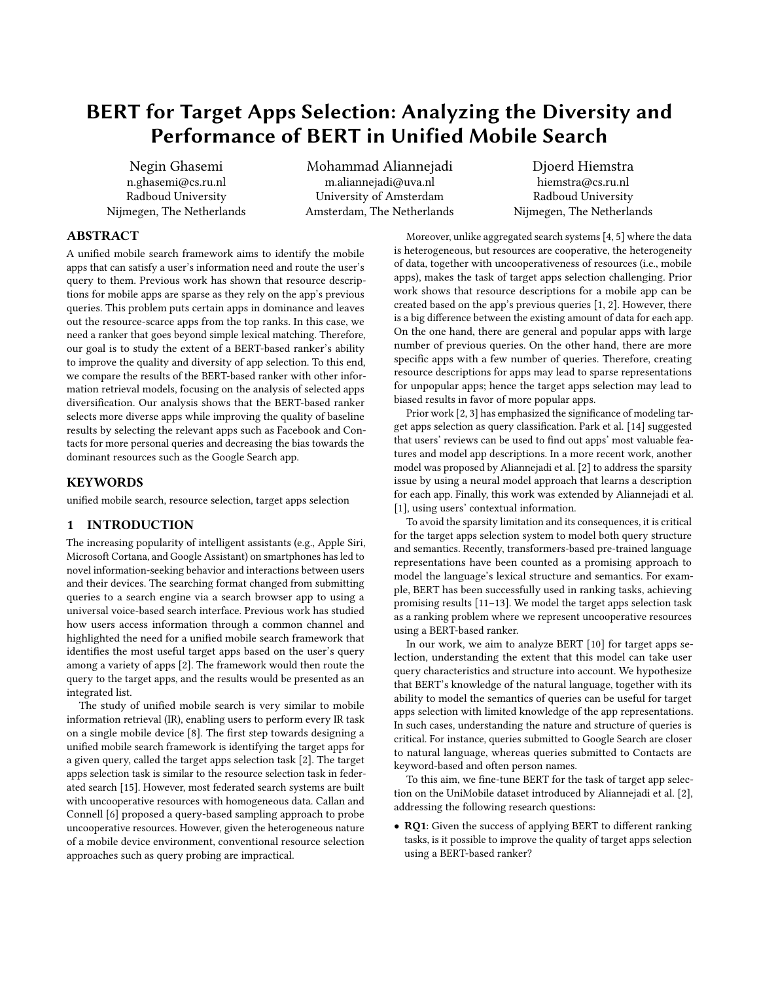# BERT for Target Apps Selection: Analyzing the Diversity and Performance of BERT in Unified Mobile Search

Negin Ghasemi n.ghasemi@cs.ru.nl Radboud University Nijmegen, The Netherlands

Mohammad Aliannejadi m.aliannejadi@uva.nl University of Amsterdam Amsterdam, The Netherlands

Djoerd Hiemstra hiemstra@cs.ru.nl Radboud University Nijmegen, The Netherlands

## ABSTRACT

A unified mobile search framework aims to identify the mobile apps that can satisfy a user's information need and route the user's query to them. Previous work has shown that resource descriptions for mobile apps are sparse as they rely on the app's previous queries. This problem puts certain apps in dominance and leaves out the resource-scarce apps from the top ranks. In this case, we need a ranker that goes beyond simple lexical matching. Therefore, our goal is to study the extent of a BERT-based ranker's ability to improve the quality and diversity of app selection. To this end, we compare the results of the BERT-based ranker with other information retrieval models, focusing on the analysis of selected apps diversification. Our analysis shows that the BERT-based ranker selects more diverse apps while improving the quality of baseline results by selecting the relevant apps such as Facebook and Contacts for more personal queries and decreasing the bias towards the dominant resources such as the Google Search app.

#### **KEYWORDS**

unified mobile search, resource selection, target apps selection

# <span id="page-0-0"></span>1 INTRODUCTION

The increasing popularity of intelligent assistants (e.g., Apple Siri, Microsoft Cortana, and Google Assistant) on smartphones has led to novel information-seeking behavior and interactions between users and their devices. The searching format changed from submitting queries to a search engine via a search browser app to using a universal voice-based search interface. Previous work has studied how users access information through a common channel and highlighted the need for a unified mobile search framework that identifies the most useful target apps based on the user's query among a variety of apps [\[2\]](#page-4-0). The framework would then route the query to the target apps, and the results would be presented as an integrated list.

The study of unified mobile search is very similar to mobile information retrieval (IR), enabling users to perform every IR task on a single mobile device [\[8\]](#page-4-1). The first step towards designing a unified mobile search framework is identifying the target apps for a given query, called the target apps selection task [\[2\]](#page-4-0). The target apps selection task is similar to the resource selection task in federated search [\[15\]](#page-4-2). However, most federated search systems are built with uncooperative resources with homogeneous data. Callan and Connell [\[6\]](#page-4-3) proposed a query-based sampling approach to probe uncooperative resources. However, given the heterogeneous nature of a mobile device environment, conventional resource selection approaches such as query probing are impractical.

Moreover, unlike aggregated search systems [\[4,](#page-4-4) [5\]](#page-4-5) where the data is heterogeneous, but resources are cooperative, the heterogeneity of data, together with uncooperativeness of resources (i.e., mobile apps), makes the task of target apps selection challenging. Prior work shows that resource descriptions for a mobile app can be created based on the app's previous queries [\[1,](#page-4-6) [2\]](#page-4-0). However, there is a big difference between the existing amount of data for each app. On the one hand, there are general and popular apps with large number of previous queries. On the other hand, there are more specific apps with a few number of queries. Therefore, creating resource descriptions for apps may lead to sparse representations for unpopular apps; hence the target apps selection may lead to biased results in favor of more popular apps.

Prior work [\[2,](#page-4-0) [3\]](#page-4-7) has emphasized the significance of modeling target apps selection as query classification. Park et al. [\[14\]](#page-4-8) suggested that users' reviews can be used to find out apps' most valuable features and model app descriptions. In a more recent work, another model was proposed by Aliannejadi et al. [\[2\]](#page-4-0) to address the sparsity issue by using a neural model approach that learns a description for each app. Finally, this work was extended by Aliannejadi et al. [\[1\]](#page-4-6), using users' contextual information.

To avoid the sparsity limitation and its consequences, it is critical for the target apps selection system to model both query structure and semantics. Recently, transformers-based pre-trained language representations have been counted as a promising approach to model the language's lexical structure and semantics. For example, BERT has been successfully used in ranking tasks, achieving promising results [\[11](#page-4-9)[–13\]](#page-4-10). We model the target apps selection task as a ranking problem where we represent uncooperative resources using a BERT-based ranker.

In our work, we aim to analyze BERT [\[10\]](#page-4-11) for target apps selection, understanding the extent that this model can take user query characteristics and structure into account. We hypothesize that BERT's knowledge of the natural language, together with its ability to model the semantics of queries can be useful for target apps selection with limited knowledge of the app representations. In such cases, understanding the nature and structure of queries is critical. For instance, queries submitted to Google Search are closer to natural language, whereas queries submitted to Contacts are keyword-based and often person names.

To this aim, we fine-tune BERT for the task of target app selection on the UniMobile dataset introduced by Aliannejadi et al. [\[2\]](#page-4-0), addressing the following research questions:

• RO1: Given the success of applying BERT to different ranking tasks, is it possible to improve the quality of target apps selection using a BERT-based ranker?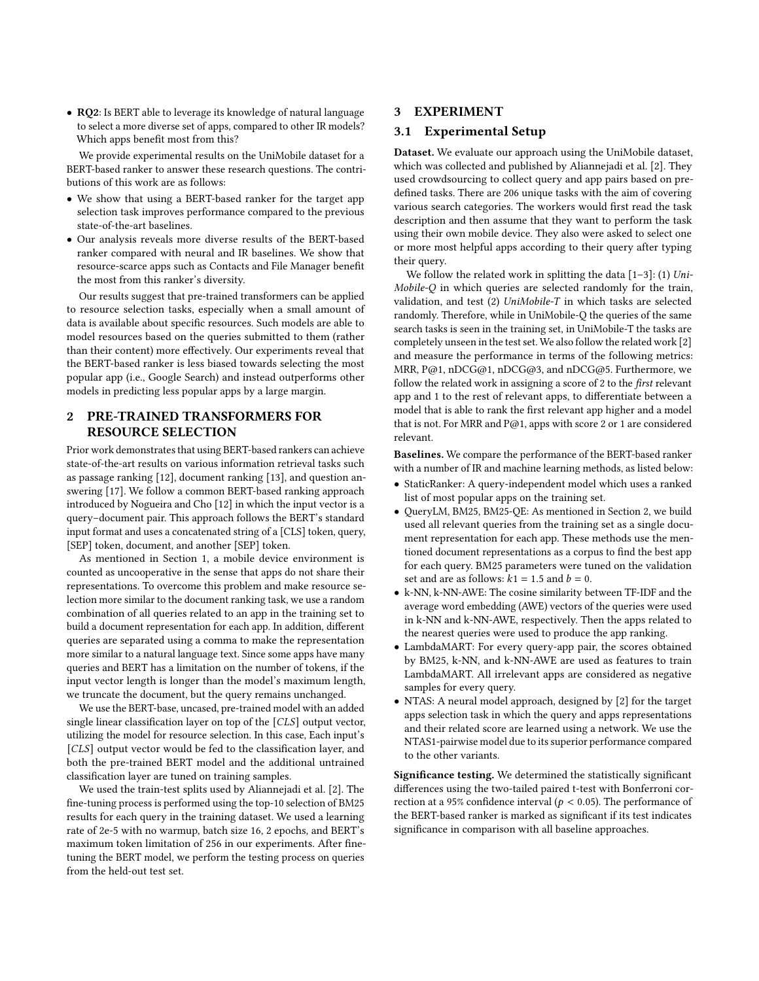• RQ2: Is BERT able to leverage its knowledge of natural language to select a more diverse set of apps, compared to other IR models? Which apps benefit most from this?

We provide experimental results on the UniMobile dataset for a BERT-based ranker to answer these research questions. The contributions of this work are as follows:

- We show that using a BERT-based ranker for the target app selection task improves performance compared to the previous state-of-the-art baselines.
- Our analysis reveals more diverse results of the BERT-based ranker compared with neural and IR baselines. We show that resource-scarce apps such as Contacts and File Manager benefit the most from this ranker's diversity.

Our results suggest that pre-trained transformers can be applied to resource selection tasks, especially when a small amount of data is available about specific resources. Such models are able to model resources based on the queries submitted to them (rather than their content) more effectively. Our experiments reveal that the BERT-based ranker is less biased towards selecting the most popular app (i.e., Google Search) and instead outperforms other models in predicting less popular apps by a large margin.

# <span id="page-1-0"></span>2 PRE-TRAINED TRANSFORMERS FOR RESOURCE SELECTION

Prior work demonstrates that using BERT-based rankers can achieve state-of-the-art results on various information retrieval tasks such as passage ranking [\[12\]](#page-4-12), document ranking [\[13\]](#page-4-10), and question answering [\[17\]](#page-4-13). We follow a common BERT-based ranking approach introduced by Nogueira and Cho [\[12\]](#page-4-12) in which the input vector is a query–document pair. This approach follows the BERT's standard input format and uses a concatenated string of a [CLS] token, query, [SEP] token, document, and another [SEP] token.

As mentioned in Section [1,](#page-0-0) a mobile device environment is counted as uncooperative in the sense that apps do not share their representations. To overcome this problem and make resource selection more similar to the document ranking task, we use a random combination of all queries related to an app in the training set to build a document representation for each app. In addition, different queries are separated using a comma to make the representation more similar to a natural language text. Since some apps have many queries and BERT has a limitation on the number of tokens, if the input vector length is longer than the model's maximum length, we truncate the document, but the query remains unchanged.

We use the BERT-base, uncased, pre-trained model with an added single linear classification layer on top of the  $[CLS]$  output vector, utilizing the model for resource selection. In this case, Each input's [CLS] output vector would be fed to the classification layer, and both the pre-trained BERT model and the additional untrained classification layer are tuned on training samples.

We used the train-test splits used by Aliannejadi et al. [\[2\]](#page-4-0). The fine-tuning process is performed using the top-10 selection of BM25 results for each query in the training dataset. We used a learning rate of 2e-5 with no warmup, batch size 16, 2 epochs, and BERT's maximum token limitation of 256 in our experiments. After finetuning the BERT model, we perform the testing process on queries from the held-out test set.

# 3 EXPERIMENT

#### 3.1 Experimental Setup

Dataset. We evaluate our approach using the UniMobile dataset, which was collected and published by Aliannejadi et al. [\[2\]](#page-4-0). They used crowdsourcing to collect query and app pairs based on predefined tasks. There are 206 unique tasks with the aim of covering various search categories. The workers would first read the task description and then assume that they want to perform the task using their own mobile device. They also were asked to select one or more most helpful apps according to their query after typing their query.

We follow the related work in splitting the data  $[1-3]$  $[1-3]$ : (1) Uni-Mobile-Q in which queries are selected randomly for the train, validation, and test (2) UniMobile-T in which tasks are selected randomly. Therefore, while in UniMobile-Q the queries of the same search tasks is seen in the training set, in UniMobile-T the tasks are completely unseen in the test set. We also follow the related work [\[2\]](#page-4-0) and measure the performance in terms of the following metrics: MRR, P@1, nDCG@1, nDCG@3, and nDCG@5. Furthermore, we follow the related work in assigning a score of 2 to the first relevant app and 1 to the rest of relevant apps, to differentiate between a model that is able to rank the first relevant app higher and a model that is not. For MRR and P@1, apps with score 2 or 1 are considered relevant.

Baselines. We compare the performance of the BERT-based ranker with a number of IR and machine learning methods, as listed below:

- StaticRanker: A query-independent model which uses a ranked list of most popular apps on the training set.
- QueryLM, BM25, BM25-QE: As mentioned in Section [2,](#page-1-0) we build used all relevant queries from the training set as a single document representation for each app. These methods use the mentioned document representations as a corpus to find the best app for each query. BM25 parameters were tuned on the validation set and are as follows:  $k1 = 1.5$  and  $b = 0$ .
- k-NN, k-NN-AWE: The cosine similarity between TF-IDF and the average word embedding (AWE) vectors of the queries were used in k-NN and k-NN-AWE, respectively. Then the apps related to the nearest queries were used to produce the app ranking.
- LambdaMART: For every query-app pair, the scores obtained by BM25, k-NN, and k-NN-AWE are used as features to train LambdaMART. All irrelevant apps are considered as negative samples for every query.
- NTAS: A neural model approach, designed by [\[2\]](#page-4-0) for the target apps selection task in which the query and apps representations and their related score are learned using a network. We use the NTAS1-pairwise model due to its superior performance compared to the other variants.

Significance testing. We determined the statistically significant differences using the two-tailed paired t-test with Bonferroni correction at a 95% confidence interval ( $p < 0.05$ ). The performance of the BERT-based ranker is marked as significant if its test indicates significance in comparison with all baseline approaches.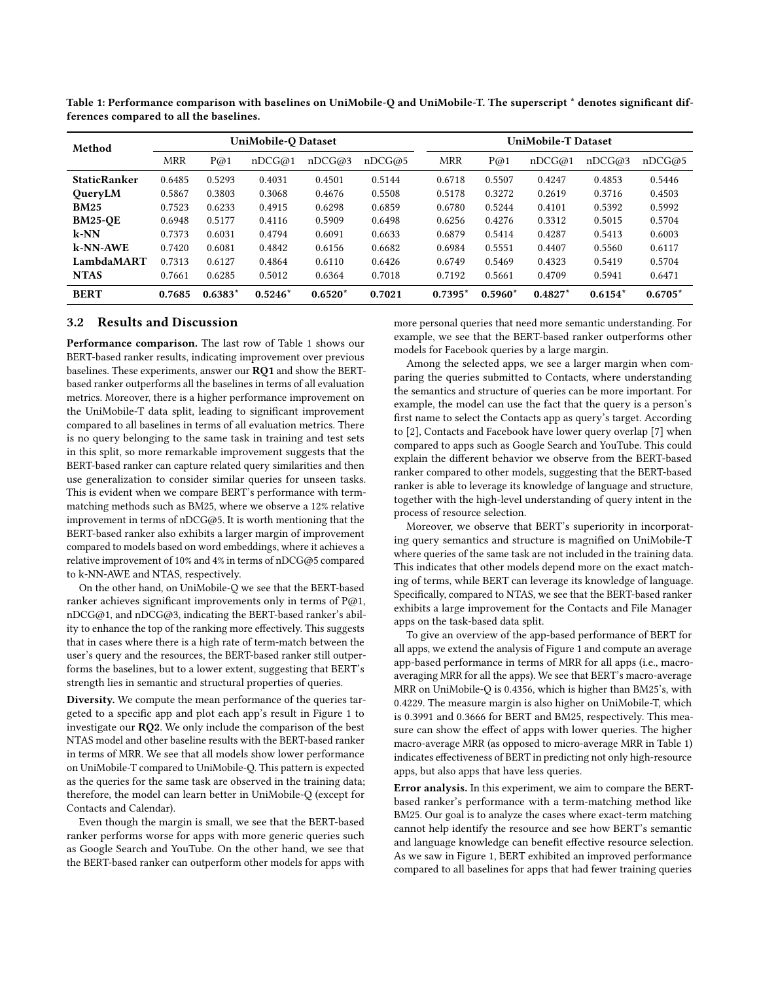| Method              |            |           | UniMobile-Q Dataset |           |        | <b>UniMobile-T Dataset</b> |           |           |           |           |
|---------------------|------------|-----------|---------------------|-----------|--------|----------------------------|-----------|-----------|-----------|-----------|
|                     | <b>MRR</b> | P@1       | nDCG@1              | nDCG@3    | nDCG@5 | <b>MRR</b>                 | P@1       | nDCG@1    | nDCG@3    | nDCG@5    |
| <b>StaticRanker</b> | 0.6485     | 0.5293    | 0.4031              | 0.4501    | 0.5144 | 0.6718                     | 0.5507    | 0.4247    | 0.4853    | 0.5446    |
| QueryLM             | 0.5867     | 0.3803    | 0.3068              | 0.4676    | 0.5508 | 0.5178                     | 0.3272    | 0.2619    | 0.3716    | 0.4503    |
| <b>BM25</b>         | 0.7523     | 0.6233    | 0.4915              | 0.6298    | 0.6859 | 0.6780                     | 0.5244    | 0.4101    | 0.5392    | 0.5992    |
| <b>BM25-QE</b>      | 0.6948     | 0.5177    | 0.4116              | 0.5909    | 0.6498 | 0.6256                     | 0.4276    | 0.3312    | 0.5015    | 0.5704    |
| $k-NN$              | 0.7373     | 0.6031    | 0.4794              | 0.6091    | 0.6633 | 0.6879                     | 0.5414    | 0.4287    | 0.5413    | 0.6003    |
| k-NN-AWE            | 0.7420     | 0.6081    | 0.4842              | 0.6156    | 0.6682 | 0.6984                     | 0.5551    | 0.4407    | 0.5560    | 0.6117    |
| LambdaMART          | 0.7313     | 0.6127    | 0.4864              | 0.6110    | 0.6426 | 0.6749                     | 0.5469    | 0.4323    | 0.5419    | 0.5704    |
| <b>NTAS</b>         | 0.7661     | 0.6285    | 0.5012              | 0.6364    | 0.7018 | 0.7192                     | 0.5661    | 0.4709    | 0.5941    | 0.6471    |
| <b>BERT</b>         | 0.7685     | $0.6383*$ | $0.5246*$           | $0.6520*$ | 0.7021 | $0.7395*$                  | $0.5960*$ | $0.4827*$ | $0.6154*$ | $0.6705*$ |

<span id="page-2-0"></span>Table 1: Performance comparison with baselines on UniMobile-Q and UniMobile-T. The superscript \* denotes significant differences compared to all the baselines.

#### 3.2 Results and Discussion

Performance comparison. The last row of Table [1](#page-2-0) shows our BERT-based ranker results, indicating improvement over previous baselines. These experiments, answer our RQ1 and show the BERTbased ranker outperforms all the baselines in terms of all evaluation metrics. Moreover, there is a higher performance improvement on the UniMobile-T data split, leading to significant improvement compared to all baselines in terms of all evaluation metrics. There is no query belonging to the same task in training and test sets in this split, so more remarkable improvement suggests that the BERT-based ranker can capture related query similarities and then use generalization to consider similar queries for unseen tasks. This is evident when we compare BERT's performance with termmatching methods such as BM25, where we observe a 12% relative improvement in terms of  $nDCG@5$ . It is worth mentioning that the BERT-based ranker also exhibits a larger margin of improvement compared to models based on word embeddings, where it achieves a relative improvement of 10% and 4% in terms of nDCG@5 compared to k-NN-AWE and NTAS, respectively.

On the other hand, on UniMobile-Q we see that the BERT-based ranker achieves significant improvements only in terms of  $P@1$ , nDCG@1, and nDCG@3, indicating the BERT-based ranker's ability to enhance the top of the ranking more effectively. This suggests that in cases where there is a high rate of term-match between the user's query and the resources, the BERT-based ranker still outperforms the baselines, but to a lower extent, suggesting that BERT's strength lies in semantic and structural properties of queries.

Diversity. We compute the mean performance of the queries targeted to a specific app and plot each app's result in Figure [1](#page-3-0) to investigate our RQ2. We only include the comparison of the best NTAS model and other baseline results with the BERT-based ranker in terms of MRR. We see that all models show lower performance on UniMobile-T compared to UniMobile-Q. This pattern is expected as the queries for the same task are observed in the training data; therefore, the model can learn better in UniMobile-Q (except for Contacts and Calendar).

Even though the margin is small, we see that the BERT-based ranker performs worse for apps with more generic queries such as Google Search and YouTube. On the other hand, we see that the BERT-based ranker can outperform other models for apps with more personal queries that need more semantic understanding. For example, we see that the BERT-based ranker outperforms other models for Facebook queries by a large margin.

Among the selected apps, we see a larger margin when comparing the queries submitted to Contacts, where understanding the semantics and structure of queries can be more important. For example, the model can use the fact that the query is a person's first name to select the Contacts app as query's target. According to [\[2\]](#page-4-0), Contacts and Facebook have lower query overlap [\[7\]](#page-4-14) when compared to apps such as Google Search and YouTube. This could explain the different behavior we observe from the BERT-based ranker compared to other models, suggesting that the BERT-based ranker is able to leverage its knowledge of language and structure, together with the high-level understanding of query intent in the process of resource selection.

Moreover, we observe that BERT's superiority in incorporating query semantics and structure is magnified on UniMobile-T where queries of the same task are not included in the training data. This indicates that other models depend more on the exact matching of terms, while BERT can leverage its knowledge of language. Specifically, compared to NTAS, we see that the BERT-based ranker exhibits a large improvement for the Contacts and File Manager apps on the task-based data split.

To give an overview of the app-based performance of BERT for all apps, we extend the analysis of Figure [1](#page-3-0) and compute an average app-based performance in terms of MRR for all apps (i.e., macroaveraging MRR for all the apps). We see that BERT's macro-average MRR on UniMobile-Q is 0.4356, which is higher than BM25's, with 0.4229. The measure margin is also higher on UniMobile-T, which is 0.3991 and 0.3666 for BERT and BM25, respectively. This measure can show the effect of apps with lower queries. The higher macro-average MRR (as opposed to micro-average MRR in Table [1\)](#page-2-0) indicates effectiveness of BERT in predicting not only high-resource apps, but also apps that have less queries.

Error analysis. In this experiment, we aim to compare the BERTbased ranker's performance with a term-matching method like BM25. Our goal is to analyze the cases where exact-term matching cannot help identify the resource and see how BERT's semantic and language knowledge can benefit effective resource selection. As we saw in Figure [1,](#page-3-0) BERT exhibited an improved performance compared to all baselines for apps that had fewer training queries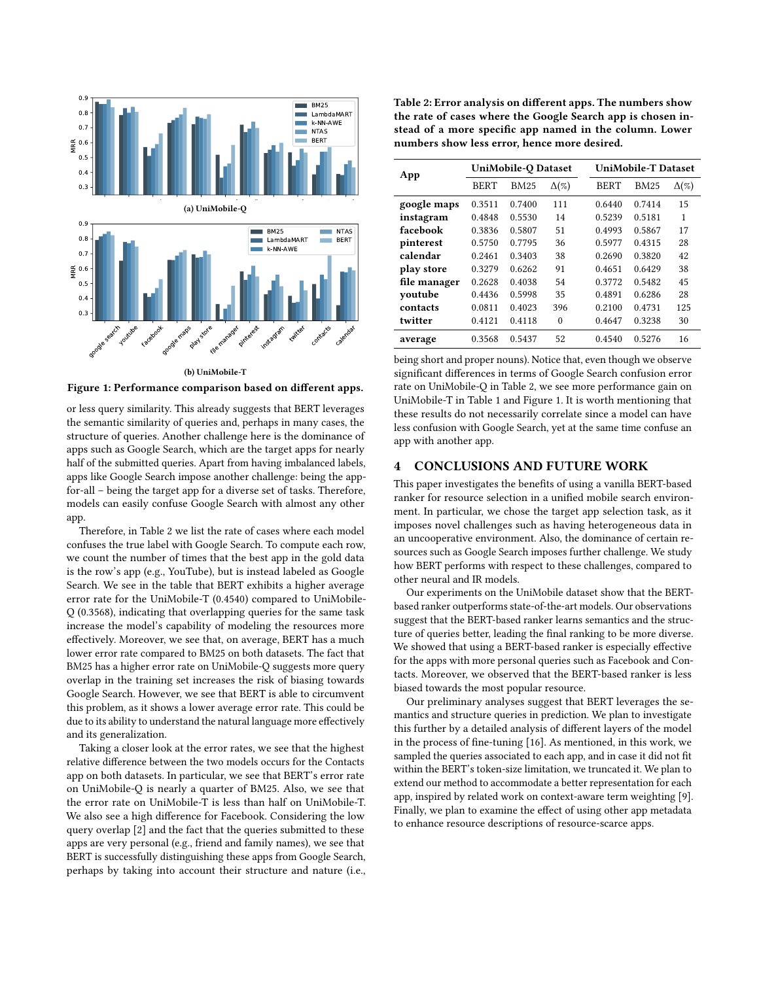<span id="page-3-0"></span>

Figure 1: Performance comparison based on different apps.

or less query similarity. This already suggests that BERT leverages the semantic similarity of queries and, perhaps in many cases, the structure of queries. Another challenge here is the dominance of apps such as Google Search, which are the target apps for nearly half of the submitted queries. Apart from having imbalanced labels, apps like Google Search impose another challenge: being the appfor-all – being the target app for a diverse set of tasks. Therefore, models can easily confuse Google Search with almost any other app.

Therefore, in Table [2](#page-3-1) we list the rate of cases where each model confuses the true label with Google Search. To compute each row, we count the number of times that the best app in the gold data is the row's app (e.g., YouTube), but is instead labeled as Google Search. We see in the table that BERT exhibits a higher average error rate for the UniMobile-T (0.4540) compared to UniMobile-Q (0.3568), indicating that overlapping queries for the same task increase the model's capability of modeling the resources more effectively. Moreover, we see that, on average, BERT has a much lower error rate compared to BM25 on both datasets. The fact that BM25 has a higher error rate on UniMobile-Q suggests more query overlap in the training set increases the risk of biasing towards Google Search. However, we see that BERT is able to circumvent this problem, as it shows a lower average error rate. This could be due to its ability to understand the natural language more effectively and its generalization.

Taking a closer look at the error rates, we see that the highest relative difference between the two models occurs for the Contacts app on both datasets. In particular, we see that BERT's error rate on UniMobile-Q is nearly a quarter of BM25. Also, we see that the error rate on UniMobile-T is less than half on UniMobile-T. We also see a high difference for Facebook. Considering the low query overlap [\[2\]](#page-4-0) and the fact that the queries submitted to these apps are very personal (e.g., friend and family names), we see that BERT is successfully distinguishing these apps from Google Search, perhaps by taking into account their structure and nature (i.e.,

<span id="page-3-1"></span>Table 2: Error analysis on different apps. The numbers show the rate of cases where the Google Search app is chosen instead of a more specific app named in the column. Lower numbers show less error, hence more desired.

| App          | UniMobile-Q Dataset |                             |          |  | <b>UniMobile-T Dataset</b> |             |              |  |
|--------------|---------------------|-----------------------------|----------|--|----------------------------|-------------|--------------|--|
|              | <b>BERT</b>         | $\Delta(\%)$<br><b>BM25</b> |          |  | <b>BERT</b>                | <b>BM25</b> | $\Delta(\%)$ |  |
| google maps  | 0.3511              | 0.7400                      | 111      |  | 0.6440                     | 0.7414      | 15           |  |
| instagram    | 0.4848              | 0.5530                      | 14       |  | 0.5239                     | 0.5181      | 1            |  |
| facebook     | 0.3836              | 0.5807                      | 51       |  | 0.4993                     | 0.5867      | 17           |  |
| pinterest    | 0.5750              | 0.7795                      | 36       |  | 0.5977                     | 0.4315      | 28           |  |
| calendar     | 0.2461              | 0.3403                      | 38       |  | 0.2690                     | 0.3820      | 42           |  |
| play store   | 0.3279              | 0.6262                      | 91       |  | 0.4651                     | 0.6429      | 38           |  |
| file manager | 0.2628              | 0.4038                      | 54       |  | 0.3772                     | 0.5482      | 45           |  |
| voutube      | 0.4436              | 0.5998                      | 35       |  | 0.4891                     | 0.6286      | 28           |  |
| contacts     | 0.0811              | 0.4023                      | 396      |  | 0.2100                     | 0.4731      | 125          |  |
| twitter      | 0.4121              | 0.4118                      | $\theta$ |  | 0.4647                     | 0.3238      | 30           |  |
| average      | 0.3568              | 0.5437                      | 52       |  | 0.4540                     | 0.5276      | 16           |  |

being short and proper nouns). Notice that, even though we observe significant differences in terms of Google Search confusion error rate on UniMobile-Q in Table [2,](#page-3-1) we see more performance gain on UniMobile-T in Table [1](#page-2-0) and Figure [1.](#page-3-0) It is worth mentioning that these results do not necessarily correlate since a model can have less confusion with Google Search, yet at the same time confuse an app with another app.

#### 4 CONCLUSIONS AND FUTURE WORK

This paper investigates the benefits of using a vanilla BERT-based ranker for resource selection in a unified mobile search environment. In particular, we chose the target app selection task, as it imposes novel challenges such as having heterogeneous data in an uncooperative environment. Also, the dominance of certain resources such as Google Search imposes further challenge. We study how BERT performs with respect to these challenges, compared to other neural and IR models.

Our experiments on the UniMobile dataset show that the BERTbased ranker outperforms state-of-the-art models. Our observations suggest that the BERT-based ranker learns semantics and the structure of queries better, leading the final ranking to be more diverse. We showed that using a BERT-based ranker is especially effective for the apps with more personal queries such as Facebook and Contacts. Moreover, we observed that the BERT-based ranker is less biased towards the most popular resource.

Our preliminary analyses suggest that BERT leverages the semantics and structure queries in prediction. We plan to investigate this further by a detailed analysis of different layers of the model in the process of fine-tuning [\[16\]](#page-4-15). As mentioned, in this work, we sampled the queries associated to each app, and in case it did not fit within the BERT's token-size limitation, we truncated it. We plan to extend our method to accommodate a better representation for each app, inspired by related work on context-aware term weighting [\[9\]](#page-4-16). Finally, we plan to examine the effect of using other app metadata to enhance resource descriptions of resource-scarce apps.